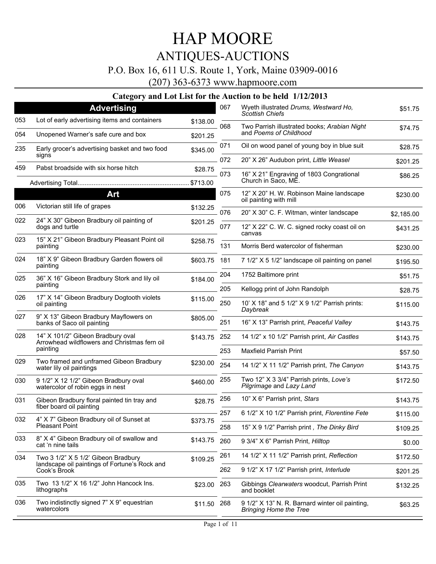### P.O. Box 16, 611 U.S. Route 1, York, Maine 03909-0016

(207) 363-6373 www.hapmoore.com

|     | <b>Advertising</b>                                                                |                     | 067 | Wyeth illustrated Drums, Westward Ho,<br>Scottish Chiefs                         | \$51.75    |
|-----|-----------------------------------------------------------------------------------|---------------------|-----|----------------------------------------------------------------------------------|------------|
| 053 | Lot of early advertising items and containers                                     | \$138.00            | 068 | Two Parrish illustrated books; Arabian Night                                     | \$74.75    |
| 054 | Unopened Warner's safe cure and box                                               | \$201.25            |     | and Poems of Childhood                                                           |            |
| 235 | Early grocer's advertising basket and two food<br>signs                           | \$345.00            | 071 | Oil on wood panel of young boy in blue suit                                      | \$28.75    |
| 459 | Pabst broadside with six horse hitch                                              |                     | 072 | 20" X 26" Audubon print, Little Weasel                                           | \$201.25   |
|     |                                                                                   | \$28.75<br>\$713.00 | 073 | 16" X 21" Engraving of 1803 Congrational<br>Church in Saco, ME.                  | \$86.25    |
|     | Art                                                                               |                     | 075 | 12" X 20" H. W. Robinson Maine landscape                                         | \$230.00   |
| 006 | Victorian still life of grapes                                                    | \$132.25            |     | oil painting with mill                                                           |            |
| 022 | 24" X 30" Gibeon Bradbury oil painting of                                         |                     | 076 | 20" X 30" C. F. Witman, winter landscape                                         | \$2,185.00 |
|     | dogs and turtle                                                                   | \$201.25            | 077 | 12" X 22" C. W. C. signed rocky coast oil on<br>canvas                           | \$431.25   |
| 023 | 15" X 21" Gibeon Bradbury Pleasant Point oil<br>painting                          | \$258.75            | 131 | Morris Berd watercolor of fisherman                                              | \$230.00   |
| 024 | 18" X 9" Gibeon Bradbury Garden flowers oil                                       | \$603.75            | 181 | 7 1/2" X 5 1/2" landscape oil painting on panel                                  | \$195.50   |
| 025 | painting                                                                          |                     | 204 | 1752 Baltimore print                                                             | \$51.75    |
|     | 36" X 16" Gibeon Bradbury Stork and lily oil<br>painting                          | \$184.00            | 205 | Kellogg print of John Randolph                                                   | \$28.75    |
| 026 | 17" X 14" Gibeon Bradbury Dogtooth violets<br>oil painting                        | \$115.00            | 250 | 10' X 18" and 5 1/2" X 9 1/2" Parrish prints:<br>Daybreak                        | \$115.00   |
| 027 | 9" X 13" Gibeon Bradbury Mayflowers on<br>banks of Saco oil painting              | \$805.00            | 251 | 16" X 13" Parrish print, Peaceful Valley                                         | \$143.75   |
| 028 | 14" X 101/2" Gibeon Bradbury oval<br>Arrowhead wildflowers and Christmas fern oil | \$143.75            | 252 | 14 1/2" x 10 1/2" Parrish print, Air Castles                                     | \$143.75   |
|     | painting                                                                          |                     | 253 | <b>Maxfield Parrish Print</b>                                                    | \$57.50    |
| 029 | Two framed and unframed Gibeon Bradbury<br>water lily oil paintings               | \$230.00            | 254 | 14 1/2" X 11 1/2" Parrish print, The Canyon                                      | \$143.75   |
| 030 | 9 1/2" X 12 1/2" Gibeon Bradbury oval<br>watercolor of robin eggs in nest         | \$460.00            | 255 | Two 12" X 3 3/4" Parrish prints, Love's<br>Pilgrimage and Lazy Land              | \$172.50   |
| 031 | Gibeon Bradbury floral painted tin tray and<br>fiber board oil painting           | \$28.75             | 256 | 10" X 6" Parrish print, Stars                                                    | \$143.75   |
| 032 | 4" X 7" Gibeon Bradbury oil of Sunset at                                          | \$373.75            | 257 | 6 1/2" X 10 1/2" Parrish print, Florentine Fete                                  | \$115.00   |
|     | <b>Pleasant Point</b>                                                             |                     | 258 | 15" X 9 1/2" Parrish print, The Dinky Bird                                       | \$109.25   |
| 033 | 8" X 4" Gibeon Bradbury oil of swallow and<br>cat 'n nine tails                   | \$143.75            | 260 | 9 3/4" X 6" Parrish Print, Hilltop                                               | \$0.00     |
| 034 | Two 3 1/2" X 5 1/2" Gibeon Bradbury                                               | \$109.25            | 261 | 14 1/2" X 11 1/2" Parrish print, Reflection                                      | \$172.50   |
|     | landscape oil paintings of Fortune's Rock and<br>Cook's Brook                     |                     | 262 | 9 1/2" X 17 1/2" Parrish print, <i>Interlude</i>                                 | \$201.25   |
| 035 | Two 13 1/2" X 16 1/2" John Hancock Ins.<br>lithographs                            | \$23.00             | 263 | Gibbings Clearwaters woodcut, Parrish Print<br>and booklet                       | \$132.25   |
| 036 | Two indistinctly signed 7" X 9" equestrian<br>watercolors                         | \$11.50             | 268 | 9 1/2" X 13" N. R. Barnard winter oil painting,<br><b>Bringing Home the Tree</b> | \$63.25    |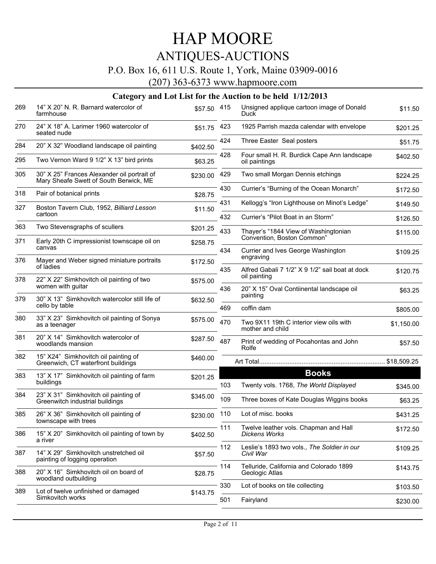# HAP MOORE

## ANTIQUES-AUCTIONS

### P.O. Box 16, 611 U.S. Route 1, York, Maine 03909-0016

(207) 363-6373 www.hapmoore.com

| 269 | 14" X 20" N. R. Barnard watercolor of<br>farmhouse                                    | \$57.50  | 415 | Unsigned applique cartoon image of Donald<br>Duck                  | \$11.50    |
|-----|---------------------------------------------------------------------------------------|----------|-----|--------------------------------------------------------------------|------------|
| 270 | 24" X 18" A. Larimer 1960 watercolor of<br>seated nude                                | \$51.75  | 423 | 1925 Parrish mazda calendar with envelope                          | \$201.25   |
| 284 | 20" X 32" Woodland landscape oil painting                                             | \$402.50 | 424 | Three Easter Seal posters                                          | \$51.75    |
| 295 | Two Vernon Ward 9 1/2" X 13" bird prints                                              | \$63.25  | 428 | Four small H. R. Burdick Cape Ann landscape<br>oil paintings       | \$402.50   |
| 305 | 30" X 25" Frances Alexander oil portrait of<br>Mary Sheafe Swett of South Berwick, ME | \$230.00 | 429 | Two small Morgan Dennis etchings                                   | \$224.25   |
| 318 | Pair of botanical prints                                                              | \$28.75  | 430 | Currier's "Burning of the Ocean Monarch"                           | \$172.50   |
| 327 | Boston Tavern Club, 1952, Billiard Lesson                                             | \$11.50  | 431 | Kellogg's "Iron Lighthouse on Minot's Ledge"                       | \$149.50   |
|     | cartoon                                                                               |          | 432 | Currier's "Pilot Boat in an Storm"                                 | \$126.50   |
| 363 | Two Stevensgraphs of scullers                                                         | \$201.25 | 433 | Thayer's "1844 View of Washingtonian<br>Convention, Boston Common" | \$115.00   |
| 371 | Early 20th C impressionist townscape oil on<br>canvas                                 | \$258.75 | 434 | Currier and Ives George Washington                                 |            |
| 376 | Mayer and Weber signed miniature portraits                                            | \$172.50 |     | engraving                                                          | \$109.25   |
| 378 | of ladies<br>22" X 22" Simkhovitch oil painting of two                                |          | 435 | Alfred Gabali 7 1/2" X 9 1/2" sail boat at dock<br>oil painting    | \$120.75   |
|     | women with guitar                                                                     | \$575.00 | 436 | 20" X 15" Oval Contiinental landscape oil                          | \$63.25    |
| 379 | 30" X 13" Simkhovitch watercolor still life of<br>cello by table                      | \$632.50 |     | painting                                                           |            |
| 380 | 33" X 23" Simkhovitch oil painting of Sonya                                           |          | 469 | coffin dam                                                         | \$805.00   |
|     | as a teenager                                                                         | \$575.00 | 470 | Two 9X11 19th C interior view oils with<br>mother and child        | \$1,150.00 |
| 381 | 20" X 14" Simkhovitch watercolor of<br>woodlands mansion                              | \$287.50 | 487 | Print of wedding of Pocahontas and John<br>Rolfe                   | \$57.50    |
| 382 | 15" X24" Simkhovitch oil painting of<br>Greenwich, CT waterfront buildings            | \$460.00 |     |                                                                    |            |
| 383 | 13" X 17" Simkhovitch oil painting of farm                                            | \$201.25 |     | <b>Books</b>                                                       |            |
|     | buildings                                                                             |          | 103 | Twenty vols. 1768, The World Displayed                             | \$345.00   |
| 384 | 23" X 31" Simkhovitch oil painting of<br>Greenwitch industrial buildings              | \$345.00 | 109 | Three boxes of Kate Douglas Wiggins books                          | \$63.25    |
| 385 | 26" X 36" Simkhovitch oll painting of<br>townscape with trees                         | \$230.00 | 110 | Lot of misc. books                                                 | \$431.25   |
| 386 | 15" X 20" Simkhovitch oil painting of town by<br>a river                              | \$402.50 |     | Twelve leather vols. Chapman and Hall<br><b>Dickens Works</b>      | \$172.50   |
| 387 | 14" X 29" Simkhovitch unstretched oil<br>painting of logging operation                | \$57.50  | 112 | Leslie's 1893 two vols., The Soldier in our<br>Civil War           | \$109.25   |
| 388 | 20" X 16" Simkhovitch oil on board of                                                 | \$28.75  | 114 | Telluride, California and Colorado 1899<br>Geologic Atlas          | \$143.75   |
|     | woodland outbuilding                                                                  |          | 330 | Lot of books on tile collecting                                    | \$103.50   |
| 389 | Lot of twelve unfinished or damaged<br>Simkovitch works                               | \$143.75 | 501 | Fairyland                                                          | \$230.00   |
|     |                                                                                       |          |     |                                                                    |            |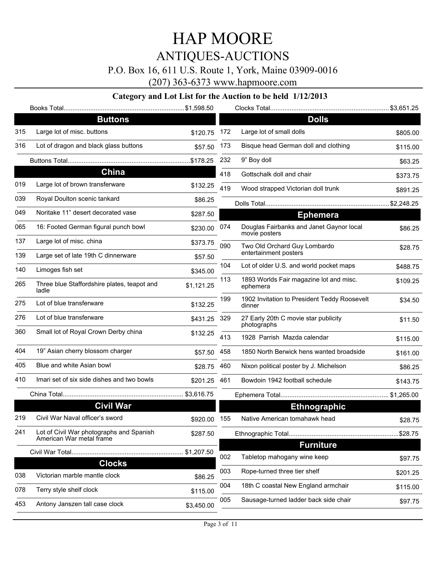### P.O. Box 16, 611 U.S. Route 1, York, Maine 03909-0016

(207) 363-6373 www.hapmoore.com

|     | <b>Buttons</b>                                                       |              |     | <b>Dolls</b>                                              |          |
|-----|----------------------------------------------------------------------|--------------|-----|-----------------------------------------------------------|----------|
| 315 | Large lot of misc. buttons                                           | \$120.75     | 172 | Large lot of small dolls                                  | \$805.00 |
| 316 | Lot of dragon and black glass buttons                                | \$57.50      | 173 | Bisque head German doll and clothing                      | \$115.00 |
|     |                                                                      |              | 232 | 9" Boy doll                                               | \$63.25  |
|     | <b>China</b>                                                         |              | 418 | Gottschalk doll and chair                                 | \$373.75 |
| 019 | Large lot of brown transferware                                      | \$132.25     | 419 | Wood strapped Victorian doll trunk                        | \$891.25 |
| 039 | Royal Doulton scenic tankard                                         | \$86.25      |     |                                                           |          |
| 049 | Noritake 11" desert decorated vase                                   | \$287.50     |     | <b>Ephemera</b>                                           |          |
| 065 | 16: Footed German figural punch bowl                                 | \$230.00     | 074 | Douglas Fairbanks and Janet Gaynor local<br>movie posters | \$86.25  |
| 137 | Large lot of misc. china                                             | \$373.75     | 090 | Two Old Orchard Guy Lombardo                              | \$28.75  |
| 139 | Large set of late 19th C dinnerware                                  | \$57.50      |     | entertainment posters                                     |          |
| 140 | Limoges fish set                                                     | \$345.00     | 104 | Lot of older U.S. and world pocket maps                   | \$488.75 |
| 265 | Three blue Staffordshire plates, teapot and<br>ladle                 | \$1,121.25   | 113 | 1893 Worlds Fair magazine lot and misc.<br>ephemera       | \$109.25 |
| 275 | Lot of blue transferware                                             | \$132.25     | 199 | 1902 Invitation to President Teddy Roosevelt<br>dinner    | \$34.50  |
| 276 | Lot of blue transferware                                             | \$431.25 329 |     | 27 Early 20th C movie star publicity<br>photographs       | \$11.50  |
| 360 | Small lot of Royal Crown Derby china                                 | \$132.25     | 413 | 1928 Parrish Mazda calendar                               | \$115.00 |
| 404 | 19" Asian cherry blossom charger                                     | \$57.50 458  |     | 1850 North Berwick hens wanted broadside                  | \$161.00 |
| 405 | Blue and white Asian bowl                                            | \$28.75      | 460 | Nixon political poster by J. Michelson                    | \$86.25  |
| 410 | Imari set of six side dishes and two bowls                           | \$201.25     | 461 | Bowdoin 1942 football schedule                            | \$143.75 |
|     |                                                                      |              |     |                                                           |          |
|     | <b>Civil War</b>                                                     |              |     | <b>Ethnographic</b>                                       |          |
| 219 | Civil War Naval officer's sword                                      | \$920.00 155 |     | Native American tomahawk head                             | \$28.75  |
| 241 | Lot of Civil War photographs and Spanish<br>American War metal frame | \$287.50     |     |                                                           |          |
|     |                                                                      | \$1,207.50   |     | <b>Furniture</b>                                          |          |
|     | <b>Clocks</b>                                                        |              | 002 | Tabletop mahogany wine keep                               | \$97.75  |
| 038 | Victorian marble mantle clock                                        | \$86.25      | 003 | Rope-turned three tier shelf                              | \$201.25 |
| 078 | Terry style shelf clock                                              | \$115.00     | 004 | 18th C coastal New England armchair                       | \$115.00 |
| 453 | Antony Janszen tall case clock                                       | \$3,450.00   | 005 | Sausage-turned ladder back side chair                     | \$97.75  |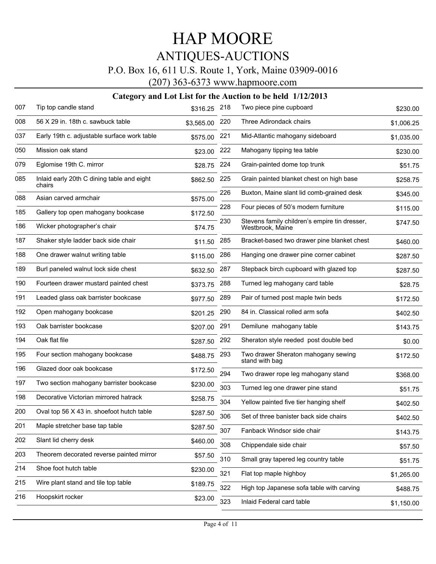### P.O. Box 16, 611 U.S. Route 1, York, Maine 03909-0016

(207) 363-6373 www.hapmoore.com

| 007 | Tip top candle stand                                 | \$316.25   | 218 | Two piece pine cupboard                                           | \$230.00   |
|-----|------------------------------------------------------|------------|-----|-------------------------------------------------------------------|------------|
| 008 | 56 X 29 in. 18th c. sawbuck table                    | \$3,565.00 | 220 | Three Adirondack chairs                                           | \$1,006.25 |
| 037 | Early 19th c. adjustable surface work table          | \$575.00   | 221 | Mid-Atlantic mahogany sideboard                                   | \$1,035.00 |
| 050 | Mission oak stand                                    | \$23.00    | 222 | Mahogany tipping tea table                                        | \$230.00   |
| 079 | Eglomise 19th C. mirror                              | \$28.75    | 224 | Grain-painted dome top trunk                                      | \$51.75    |
| 085 | Inlaid early 20th C dining table and eight<br>chairs | \$862.50   | 225 | Grain painted blanket chest on high base                          | \$258.75   |
| 088 | Asian carved armchair                                | \$575.00   | 226 | Buxton, Maine slant lid comb-grained desk                         | \$345.00   |
| 185 | Gallery top open mahogany bookcase                   | \$172.50   | 228 | Four pieces of 50's modern furniture                              | \$115.00   |
| 186 | Wicker photographer's chair                          | \$74.75    | 230 | Stevens family children's empire tin dresser,<br>Westbrook, Maine | \$747.50   |
| 187 | Shaker style ladder back side chair                  | \$11.50    | 285 | Bracket-based two drawer pine blanket chest                       | \$460.00   |
| 188 | One drawer walnut writing table                      | \$115.00   | 286 | Hanging one drawer pine corner cabinet                            | \$287.50   |
| 189 | Burl paneled walnut lock side chest                  | \$632.50   | 287 | Stepback birch cupboard with glazed top                           | \$287.50   |
| 190 | Fourteen drawer mustard painted chest                | \$373.75   | 288 | Turned leg mahogany card table                                    | \$28.75    |
| 191 | Leaded glass oak barrister bookcase                  | \$977.50   | 289 | Pair of turned post maple twin beds                               | \$172.50   |
| 192 | Open mahogany bookcase                               | \$201.25   | 290 | 84 in. Classical rolled arm sofa                                  | \$402.50   |
| 193 | Oak barrister bookcase                               | \$207.00   | 291 | Demilune mahogany table                                           | \$143.75   |
| 194 | Oak flat file                                        | \$287.50   | 292 | Sheraton style reeded post double bed                             | \$0.00     |
| 195 | Four section mahogany bookcase                       | \$488.75   | 293 | Two drawer Sheraton mahogany sewing<br>stand with bag             | \$172.50   |
| 196 | Glazed door oak bookcase                             | \$172.50   | 294 | Two drawer rope leg mahogany stand                                | \$368.00   |
| 197 | Two section mahogany barrister bookcase              | \$230.00   | 303 | Turned leg one drawer pine stand                                  | \$51.75    |
| 198 | Decorative Victorian mirrored hatrack                | \$258.75   | 304 | Yellow painted five tier hanging shelf                            | \$402.50   |
| 200 | Oval top 56 X 43 in. shoefoot hutch table            | \$287.50   | 306 | Set of three banister back side chairs                            | \$402.50   |
| 201 | Maple stretcher base tap table                       | \$287.50   | 307 | Fanback Windsor side chair                                        | \$143.75   |
| 202 | Slant lid cherry desk                                | \$460.00   | 308 | Chippendale side chair                                            | \$57.50    |
| 203 | Theorem decorated reverse painted mirror             | \$57.50    | 310 | Small gray tapered leg country table                              | \$51.75    |
| 214 | Shoe foot hutch table                                | \$230.00   | 321 | Flat top maple highboy                                            | \$1,265.00 |
| 215 | Wire plant stand and tile top table                  | \$189.75   | 322 | High top Japanese sofa table with carving                         | \$488.75   |
| 216 | Hoopskirt rocker                                     | \$23.00    | 323 | Inlaid Federal card table                                         | \$1,150.00 |
|     |                                                      |            |     |                                                                   |            |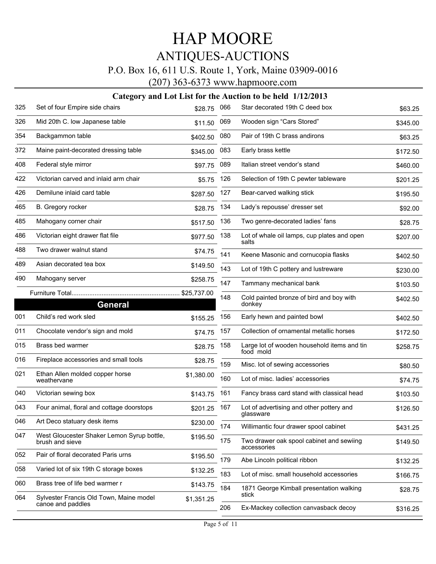### P.O. Box 16, 611 U.S. Route 1, York, Maine 03909-0016

(207) 363-6373 www.hapmoore.com

| 325 | Set of four Empire side chairs                                | \$28.75     | 066 | Star decorated 19th C deed box                           | \$63.25  |
|-----|---------------------------------------------------------------|-------------|-----|----------------------------------------------------------|----------|
| 326 | Mid 20th C. low Japanese table                                | \$11.50     | 069 | Wooden sign "Cars Stored"                                | \$345.00 |
| 354 | Backgammon table                                              | \$402.50    | 080 | Pair of 19th C brass andirons                            | \$63.25  |
| 372 | Maine paint-decorated dressing table                          | \$345.00    | 083 | Early brass kettle                                       | \$172.50 |
| 408 | Federal style mirror                                          | \$97.75     | 089 | Italian street vendor's stand                            | \$460.00 |
| 422 | Victorian carved and inlaid arm chair                         | \$5.75      | 126 | Selection of 19th C pewter tableware                     | \$201.25 |
| 426 | Demilune inlaid card table                                    | \$287.50    | 127 | Bear-carved walking stick                                | \$195.50 |
| 465 | B. Gregory rocker                                             | \$28.75     | 134 | Lady's repousse' dresser set                             | \$92.00  |
| 485 | Mahogany corner chair                                         | \$517.50    | 136 | Two genre-decorated ladies' fans                         | \$28.75  |
| 486 | Victorian eight drawer flat file                              | \$977.50    | 138 | Lot of whale oil lamps, cup plates and open<br>salts     | \$207.00 |
| 488 | Two drawer walnut stand                                       | \$74.75     | 141 | Keene Masonic and cornucopia flasks                      | \$402.50 |
| 489 | Asian decorated tea box                                       | \$149.50    | 143 | Lot of 19th C pottery and lustreware                     | \$230.00 |
| 490 | Mahogany server                                               | \$258.75    | 147 | Tammany mechanical bank                                  | \$103.50 |
|     | <b>General</b>                                                | \$25,737.00 | 148 | Cold painted bronze of bird and boy with<br>donkey       | \$402.50 |
| 001 | Child's red work sled                                         | \$155.25    | 156 | Early hewn and painted bowl                              | \$402.50 |
| 011 | Chocolate vendor's sign and mold                              | \$74.75     | 157 | Collection of ornamental metallic horses                 | \$172.50 |
| 015 | Brass bed warmer                                              | \$28.75     | 158 | Large lot of wooden household items and tin<br>food mold | \$258.75 |
| 016 | Fireplace accessories and small tools                         | \$28.75     | 159 | Misc. lot of sewing accessories                          | \$80.50  |
| 021 | Ethan Allen molded copper horse<br>weathervane                | \$1,380.00  | 160 | Lot of misc. ladies' accessories                         | \$74.75  |
| 040 | Victorian sewing box                                          | \$143.75    | 161 | Fancy brass card stand with classical head               | \$103.50 |
| 043 | Four animal, floral and cottage doorstops                     | \$201.25    | 167 | Lot of advertising and other pottery and<br>glassware    | \$126.50 |
| 046 | Art Deco statuary desk items                                  | \$230.00    | 174 | Willimantic four drawer spool cabinet                    | \$431.25 |
| 047 | West Gloucester Shaker Lemon Syrup bottle,<br>brush and sieve | \$195.50    | 175 | Two drawer oak spool cabinet and sewiing<br>accessories  | \$149.50 |
| 052 | Pair of floral decorated Paris urns                           | \$195.50    | 179 | Abe Lincoln political ribbon                             | \$132.25 |
| 058 | Varied lot of six 19th C storage boxes                        | \$132.25    | 183 | Lot of misc. small household accessories                 | \$166.75 |
| 060 | Brass tree of life bed warmer r                               | \$143.75    | 184 | 1871 George Kimball presentation walking                 | \$28.75  |
| 064 | Sylvester Francis Old Town, Maine model<br>canoe and paddles  | \$1,351.25  |     | stick                                                    |          |
|     |                                                               |             | 206 | Ex-Mackey collection canvasback decoy                    | \$316.25 |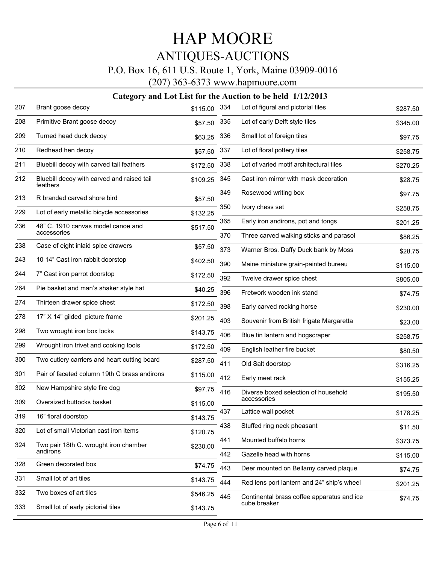### P.O. Box 16, 611 U.S. Route 1, York, Maine 03909-0016

(207) 363-6373 www.hapmoore.com

| 207 | Brant goose decoy                                      | \$115.00 | 334 | Lot of figural and pictorial tiles                         | \$287.50 |
|-----|--------------------------------------------------------|----------|-----|------------------------------------------------------------|----------|
| 208 | Primitive Brant goose decoy                            | \$57.50  | 335 | Lot of early Delft style tiles                             | \$345.00 |
| 209 | Turned head duck decoy                                 | \$63.25  | 336 | Small lot of foreign tiles                                 | \$97.75  |
| 210 | Redhead hen decoy                                      | \$57.50  | 337 | Lot of floral pottery tiles                                | \$258.75 |
| 211 | Bluebill decoy with carved tail feathers               | \$172.50 | 338 | Lot of varied motif architectural tiles                    | \$270.25 |
| 212 | Bluebill decoy with carved and raised tail<br>feathers | \$109.25 | 345 | Cast iron mirror with mask decoration                      | \$28.75  |
| 213 | R branded carved shore bird                            | \$57.50  | 349 | Rosewood writing box                                       | \$97.75  |
| 229 | Lot of early metallic bicycle accessories              | \$132.25 | 350 | Ivory chess set                                            | \$258.75 |
| 236 | 48" C. 1910 canvas model canoe and                     | \$517.50 | 365 | Early iron andirons, pot and tongs                         | \$201.25 |
|     | accessories                                            |          | 370 | Three carved walking sticks and parasol                    | \$86.25  |
| 238 | Case of eight inlaid spice drawers                     | \$57.50  | 373 | Warner Bros. Daffy Duck bank by Moss                       | \$28.75  |
| 243 | 10 14" Cast iron rabbit doorstop                       | \$402.50 | 390 | Maine miniature grain-painted bureau                       | \$115.00 |
| 244 | 7" Cast iron parrot doorstop                           | \$172.50 | 392 | Twelve drawer spice chest                                  | \$805.00 |
| 264 | Pie basket and man's shaker style hat                  | \$40.25  | 396 | Fretwork wooden ink stand                                  | \$74.75  |
| 274 | Thirteen drawer spice chest                            | \$172.50 | 398 | Early carved rocking horse                                 | \$230.00 |
| 278 | 17" X 14" gilded picture frame                         | \$201.25 | 403 | Souvenir from British frigate Margaretta                   | \$23.00  |
| 298 | Two wrought iron box locks                             | \$143.75 | 406 | Blue tin lantern and hogscraper                            | \$258.75 |
| 299 | Wrought iron trivet and cooking tools                  | \$172.50 | 409 | English leather fire bucket                                | \$80.50  |
| 300 | Two cutlery carriers and heart cutting board           | \$287.50 | 411 | Old Salt doorstop                                          | \$316.25 |
| 301 | Pair of faceted column 19th C brass andirons           | \$115.00 | 412 | Early meat rack                                            | \$155.25 |
| 302 | New Hampshire style fire dog                           | \$97.75  | 416 | Diverse boxed selection of household                       | \$195.50 |
| 309 | Oversized buttocks basket                              | \$115.00 |     | accessories                                                |          |
| 319 | 16" floral doorstop                                    | \$143.75 | 437 | Lattice wall pocket                                        | \$178.25 |
| 320 | Lot of small Victorian cast iron items                 | \$120.75 | 438 | Stuffed ring neck pheasant                                 | \$11.50  |
| 324 | Two pair 18th C. wrought iron chamber                  | \$230.00 | 441 | Mounted buffalo horns                                      | \$373.75 |
|     | andirons                                               |          | 442 | Gazelle head with horns                                    | \$115.00 |
| 328 | Green decorated box                                    | \$74.75  | 443 | Deer mounted on Bellamy carved plaque                      | \$74.75  |
| 331 | Small lot of art tiles                                 | \$143.75 | 444 | Red lens port lantern and 24" ship's wheel                 | \$201.25 |
| 332 | Two boxes of art tiles                                 | \$546.25 | 445 | Continental brass coffee apparatus and ice<br>cube breaker | \$74.75  |
| 333 | Small lot of early pictorial tiles                     | \$143.75 |     |                                                            |          |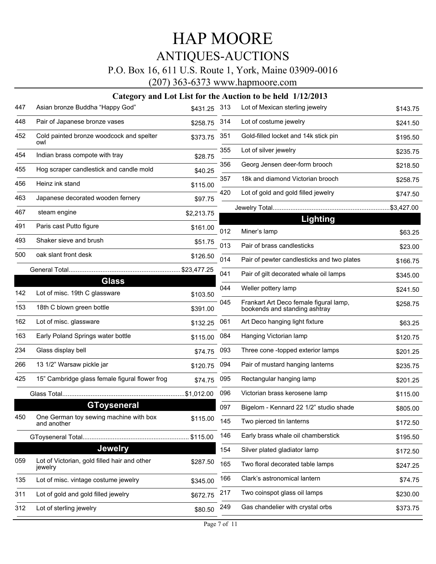### P.O. Box 16, 611 U.S. Route 1, York, Maine 03909-0016

(207) 363-6373 www.hapmoore.com

| 447 | Asian bronze Buddha "Happy God"                         | \$431.25 313 |     | Lot of Mexican sterling jewelry                                         | \$143.75 |
|-----|---------------------------------------------------------|--------------|-----|-------------------------------------------------------------------------|----------|
| 448 | Pair of Japanese bronze vases                           | \$258.75     | 314 | Lot of costume jewelry                                                  | \$241.50 |
| 452 | Cold painted bronze woodcock and spelter<br>owl         | \$373.75     | 351 | Gold-filled locket and 14k stick pin                                    | \$195.50 |
| 454 | Indian brass compote with tray                          | \$28.75      | 355 | Lot of silver jewelry                                                   | \$235.75 |
| 455 | Hog scraper candlestick and candle mold                 | \$40.25      | 356 | Georg Jensen deer-form brooch                                           | \$218.50 |
| 456 | Heinz ink stand                                         | \$115.00     | 357 | 18k and diamond Victorian brooch                                        | \$258.75 |
| 463 | Japanese decorated wooden fernery                       | \$97.75      | 420 | Lot of gold and gold filled jewelry                                     | \$747.50 |
| 467 | steam engine                                            | \$2,213.75   |     |                                                                         |          |
| 491 | Paris cast Putto figure                                 | \$161.00     |     | Lighting                                                                |          |
| 493 | Shaker sieve and brush                                  |              | 012 | Miner's lamp                                                            | \$63.25  |
|     |                                                         | \$51.75      | 013 | Pair of brass candlesticks                                              | \$23.00  |
| 500 | oak slant front desk                                    | \$126.50     | 014 | Pair of pewter candlesticks and two plates                              | \$166.75 |
|     | <b>Glass</b>                                            |              | 041 | Pair of gilt decorated whale oil lamps                                  | \$345.00 |
| 142 | Lot of misc. 19th C glassware                           | \$103.50     | 044 | Weller pottery lamp                                                     | \$241.50 |
| 153 | 18th C blown green bottle                               | \$391.00     | 045 | Frankart Art Deco female figural lamp,<br>bookends and standing ashtray | \$258.75 |
| 162 | Lot of misc. glassware                                  | \$132.25     | 061 | Art Deco hanging light fixture                                          | \$63.25  |
| 163 | Early Poland Springs water bottle                       | \$115.00     | 084 | Hanging Victorian lamp                                                  | \$120.75 |
| 234 | Glass display bell                                      | \$74.75      | 093 | Three cone -topped exterior lamps                                       | \$201.25 |
| 266 | 13 1/2" Warsaw pickle jar                               | \$120.75     | 094 | Pair of mustard hanging lanterns                                        | \$235.75 |
| 425 | 15" Cambridge glass female figural flower frog          | \$74.75      | 095 | Rectangular hanging lamp                                                | \$201.25 |
|     |                                                         |              | 096 | Victorian brass kerosene lamp                                           | \$115.00 |
|     | <b>GToyseneral</b>                                      |              | 097 | Bigelom - Kennard 22 1/2" studio shade                                  | \$805.00 |
| 450 | One German toy sewing machine with box<br>and another   | \$115.00     | 145 | Two pierced tin lanterns                                                | \$172.50 |
|     |                                                         | \$115.00     | 146 | Early brass whale oil chamberstick                                      | \$195.50 |
|     | <b>Jewelry</b>                                          |              | 154 | Silver plated gladiator lamp                                            | \$172.50 |
| 059 | Lot of Victorian, gold filled hair and other<br>jewelry | \$287.50     | 165 | Two floral decorated table lamps                                        | \$247.25 |
| 135 | Lot of misc. vintage costume jewelry                    | \$345.00     | 166 | Clark's astronomical lantern                                            | \$74.75  |
| 311 | Lot of gold and gold filled jewelry                     | \$672.75     | 217 | Two coinspot glass oil lamps                                            | \$230.00 |
| 312 | Lot of sterling jewelry                                 | \$80.50      | 249 | Gas chandelier with crystal orbs                                        | \$373.75 |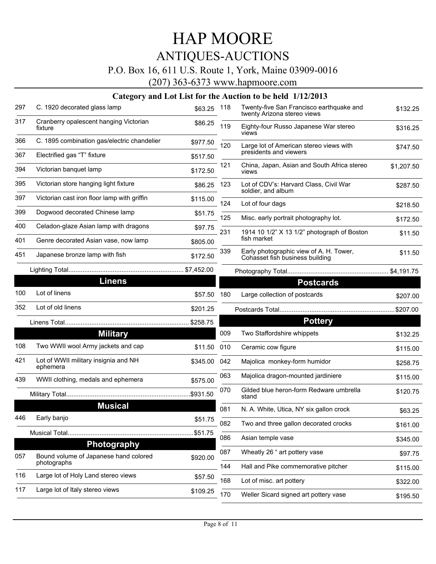### P.O. Box 16, 611 U.S. Route 1, York, Maine 03909-0016

(207) 363-6373 www.hapmoore.com

| 297 | C. 1920 decorated glass lamp                         | \$63.25  | 118 | Twenty-five San Francisco earthquake and<br>twenty Arizona stereo views    | \$132.25   |
|-----|------------------------------------------------------|----------|-----|----------------------------------------------------------------------------|------------|
| 317 | Cranberry opalescent hanging Victorian<br>fixture    | \$86.25  | 119 | Eighty-four Russo Japanese War stereo<br>views                             | \$316.25   |
| 366 | C. 1895 combination gas/electric chandelier          | \$977.50 | 120 | Large lot of American stereo views with                                    | \$747.50   |
| 367 | Electrified gas "T" fixture                          | \$517.50 |     | presidents and viewers                                                     |            |
| 394 | Victorian banquet lamp                               | \$172.50 | 121 | China, Japan, Asian and South Africa stereo<br>views                       | \$1,207.50 |
| 395 | Victorian store hanging light fixture                | \$86.25  | 123 | Lot of CDV's: Harvard Class, Civil War<br>soldier, and album               | \$287.50   |
| 397 | Victorian cast iron floor lamp with griffin          | \$115.00 | 124 | Lot of four dags                                                           | \$218.50   |
| 399 | Dogwood decorated Chinese lamp                       | \$51.75  | 125 | Misc. early portrait photography lot.                                      | \$172.50   |
| 400 | Celadon-glaze Asian lamp with dragons                | \$97.75  | 231 | 1914 10 1/2" X 13 1/2" photograph of Boston                                |            |
| 401 | Genre decorated Asian vase, now lamp                 | \$805.00 |     | fish market                                                                | \$11.50    |
| 451 | Japanese bronze lamp with fish                       | \$172.50 | 339 | Early photographic view of A. H. Tower,<br>Cohasset fish business building | \$11.50    |
|     |                                                      |          |     |                                                                            |            |
|     | <b>Linens</b>                                        |          |     | <b>Postcards</b>                                                           |            |
| 100 | Lot of linens                                        | \$57.50  | 180 | Large collection of postcards                                              | \$207.00   |
| 352 | Lot of old linens                                    | \$201.25 |     |                                                                            | .\$207.00  |
|     |                                                      |          |     | <b>Pottery</b>                                                             |            |
|     | <b>Military</b>                                      |          | 009 | Two Staffordshire whippets                                                 | \$132.25   |
| 108 | Two WWII wool Army jackets and cap                   | \$11.50  | 010 | Ceramic cow figure                                                         | \$115.00   |
| 421 | Lot of WWII military insignia and NH<br>ephemera     | \$345.00 | 042 | Majolica monkey-form humidor                                               | \$258.75   |
| 439 | WWII clothing, medals and ephemera                   | \$575.00 | 063 | Majolica dragon-mounted jardiniere                                         | \$115.00   |
|     |                                                      | \$931.50 | 070 | Gilded blue heron-form Redware umbrella<br>stand                           | \$120.75   |
|     | <b>Musical</b>                                       |          | 081 | N. A. White, Utica, NY six gallon crock                                    | \$63.25    |
| 446 | Early banjo                                          | \$51.75  | 082 | Two and three gallon decorated crocks                                      | \$161.00   |
|     |                                                      | \$51.75  | 086 | Asian temple vase                                                          | \$345.00   |
|     | <b>Photography</b>                                   |          |     |                                                                            |            |
| 057 | Bound volume of Japanese hand colored<br>photographs | \$920.00 | 087 | Wheatly 26 " art pottery vase                                              | \$97.75    |
| 116 | Large lot of Holy Land stereo views                  | \$57.50  | 144 | Hall and Pike commemorative pitcher                                        | \$115.00   |
| 117 | Large lot of Italy stereo views                      |          | 168 | Lot of misc. art pottery                                                   | \$322.00   |
|     |                                                      | \$109.25 | 170 | Weller Sicard signed art pottery vase                                      | \$195.50   |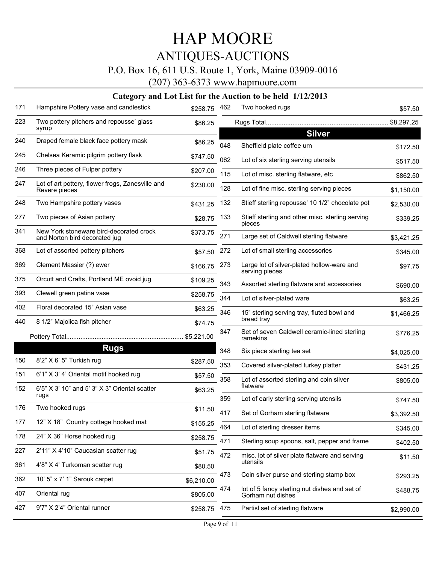### P.O. Box 16, 611 U.S. Route 1, York, Maine 03909-0016

(207) 363-6373 www.hapmoore.com

| 223<br>Two pottery pitchers and repousse' glass<br>\$8,297.25<br>\$86.25<br>syrup<br><b>Silver</b><br>240<br>Draped female black face pottery mask<br>\$86.25<br>048<br>Sheffield plate coffee urn<br>\$172.50<br>Chelsea Keramic pilgrim pottery flask<br>245<br>\$747.50<br>062<br>Lot of six sterling serving utensils<br>\$517.50<br>246<br>Three pieces of Fulper pottery<br>\$207.00<br>115<br>Lot of misc. sterling flatware, etc<br>\$862.50<br>247<br>Lot of art pottery, flower frogs, Zanesville and<br>\$230.00<br>128<br>Lot of fine misc. sterling serving pieces<br>\$1,150.00<br>Revere pieces<br>248<br>Two Hampshire pottery vases<br>Stieff sterling repousse' 10 1/2" chocolate pot<br>132<br>\$431.25<br>\$2,530.00<br>277<br>Two pieces of Asian pottery<br>133<br>Stieff sterling and other misc. sterling serving<br>\$28.75<br>\$339.25<br>pieces<br>New York stoneware bird-decorated crock<br>341<br>\$373.75<br>271<br>Large set of Caldwell sterling flatware<br>and Norton bird decorated jug<br>\$3,421.25<br>368<br>272<br>Lot of assorted pottery pitchers<br>Lot of small sterling accessories<br>\$57.50<br>\$345.00<br>369<br>Clement Massier (?) ewer<br>Large lot of silver-plated hollow-ware and<br>273<br>\$166.75<br>\$97.75<br>serving pieces<br>375<br>Orcutt and Crafts, Portland ME ovoid jug<br>\$109.25<br>343<br>Assorted sterling flatware and accessories<br>\$690.00<br>393<br>Clewell green patina vase<br>\$258.75<br>344<br>Lot of silver-plated ware<br>\$63.25<br>402<br>Floral decorated 15" Asian vase<br>\$63.25<br>346<br>15" sterling serving tray, fluted bowl and<br>\$1,466.25<br>bread tray<br>8 1/2" Majolica fish pitcher<br>440<br>\$74.75<br>347<br>Set of seven Caldwell ceramic-lined sterling<br>\$776.25<br>ramekins<br><b>Rugs</b><br>348<br>Six piece sterling tea set<br>\$4,025.00<br>8'2" X 6' 5" Turkish rug<br>150<br>\$287.50<br>353<br>Covered silver-plated turkey platter<br>\$431.25<br>6'1" X 3' 4' Oriental motif hooked rug<br>151<br>\$57.50<br>358<br>Lot of assorted sterling and coin silver<br>\$805.00<br>flatware<br>6'5" X 3' 10" and 5' 3" X 3" Oriental scatter<br>152<br>\$63.25<br>rugs<br>359<br>Lot of early sterling serving utensils<br>\$747.50<br>176<br>Two hooked rugs<br>\$11.50<br>417<br>Set of Gorham sterling flatware<br>\$3,392.50<br>12" X 18" Country cottage hooked mat<br>177<br>\$155.25<br>464<br>Lot of sterling dresser items<br>\$345.00<br>24" X 36" Horse hooked rug<br>178<br>\$258.75<br>471<br>Sterling soup spoons, salt, pepper and frame<br>\$402.50<br>2'11" X 4'10" Caucasian scatter rug<br>227<br>\$51.75<br>472<br>misc. lot of silver plate flatware and serving<br>\$11.50<br>utensils<br>4'8" X 4' Turkoman scatter rug<br>361<br>\$80.50<br>Coin silver purse and sterling stamp box<br>473<br>\$293.25<br>10' 5" x 7' 1" Sarouk carpet<br>362<br>\$6,210.00<br>474<br>lot of 5 fancy sterling nut dishes and set of<br>\$488.75<br>407<br>Oriental rug<br>\$805.00<br>Gorham nut dishes<br>427<br>9'7" X 2'4" Oriental runner<br>Partisl set of sterling flatware<br>\$258.75 475<br>\$2,990.00 | 171 | Hampshire Pottery vase and candlestick | \$258.75 | 462 | Two hooked rugs | \$57.50 |
|------------------------------------------------------------------------------------------------------------------------------------------------------------------------------------------------------------------------------------------------------------------------------------------------------------------------------------------------------------------------------------------------------------------------------------------------------------------------------------------------------------------------------------------------------------------------------------------------------------------------------------------------------------------------------------------------------------------------------------------------------------------------------------------------------------------------------------------------------------------------------------------------------------------------------------------------------------------------------------------------------------------------------------------------------------------------------------------------------------------------------------------------------------------------------------------------------------------------------------------------------------------------------------------------------------------------------------------------------------------------------------------------------------------------------------------------------------------------------------------------------------------------------------------------------------------------------------------------------------------------------------------------------------------------------------------------------------------------------------------------------------------------------------------------------------------------------------------------------------------------------------------------------------------------------------------------------------------------------------------------------------------------------------------------------------------------------------------------------------------------------------------------------------------------------------------------------------------------------------------------------------------------------------------------------------------------------------------------------------------------------------------------------------------------------------------------------------------------------------------------------------------------------------------------------------------------------------------------------------------------------------------------------------------------------------------------------------------------------------------------------------------------------------------------------------------------------------------------------------------------------------------------------------------------------------------------------------------------------------------------------------------------------------------------------------------------------------------------------------------------------------------------|-----|----------------------------------------|----------|-----|-----------------|---------|
|                                                                                                                                                                                                                                                                                                                                                                                                                                                                                                                                                                                                                                                                                                                                                                                                                                                                                                                                                                                                                                                                                                                                                                                                                                                                                                                                                                                                                                                                                                                                                                                                                                                                                                                                                                                                                                                                                                                                                                                                                                                                                                                                                                                                                                                                                                                                                                                                                                                                                                                                                                                                                                                                                                                                                                                                                                                                                                                                                                                                                                                                                                                                                |     |                                        |          |     |                 |         |
|                                                                                                                                                                                                                                                                                                                                                                                                                                                                                                                                                                                                                                                                                                                                                                                                                                                                                                                                                                                                                                                                                                                                                                                                                                                                                                                                                                                                                                                                                                                                                                                                                                                                                                                                                                                                                                                                                                                                                                                                                                                                                                                                                                                                                                                                                                                                                                                                                                                                                                                                                                                                                                                                                                                                                                                                                                                                                                                                                                                                                                                                                                                                                |     |                                        |          |     |                 |         |
|                                                                                                                                                                                                                                                                                                                                                                                                                                                                                                                                                                                                                                                                                                                                                                                                                                                                                                                                                                                                                                                                                                                                                                                                                                                                                                                                                                                                                                                                                                                                                                                                                                                                                                                                                                                                                                                                                                                                                                                                                                                                                                                                                                                                                                                                                                                                                                                                                                                                                                                                                                                                                                                                                                                                                                                                                                                                                                                                                                                                                                                                                                                                                |     |                                        |          |     |                 |         |
|                                                                                                                                                                                                                                                                                                                                                                                                                                                                                                                                                                                                                                                                                                                                                                                                                                                                                                                                                                                                                                                                                                                                                                                                                                                                                                                                                                                                                                                                                                                                                                                                                                                                                                                                                                                                                                                                                                                                                                                                                                                                                                                                                                                                                                                                                                                                                                                                                                                                                                                                                                                                                                                                                                                                                                                                                                                                                                                                                                                                                                                                                                                                                |     |                                        |          |     |                 |         |
|                                                                                                                                                                                                                                                                                                                                                                                                                                                                                                                                                                                                                                                                                                                                                                                                                                                                                                                                                                                                                                                                                                                                                                                                                                                                                                                                                                                                                                                                                                                                                                                                                                                                                                                                                                                                                                                                                                                                                                                                                                                                                                                                                                                                                                                                                                                                                                                                                                                                                                                                                                                                                                                                                                                                                                                                                                                                                                                                                                                                                                                                                                                                                |     |                                        |          |     |                 |         |
|                                                                                                                                                                                                                                                                                                                                                                                                                                                                                                                                                                                                                                                                                                                                                                                                                                                                                                                                                                                                                                                                                                                                                                                                                                                                                                                                                                                                                                                                                                                                                                                                                                                                                                                                                                                                                                                                                                                                                                                                                                                                                                                                                                                                                                                                                                                                                                                                                                                                                                                                                                                                                                                                                                                                                                                                                                                                                                                                                                                                                                                                                                                                                |     |                                        |          |     |                 |         |
|                                                                                                                                                                                                                                                                                                                                                                                                                                                                                                                                                                                                                                                                                                                                                                                                                                                                                                                                                                                                                                                                                                                                                                                                                                                                                                                                                                                                                                                                                                                                                                                                                                                                                                                                                                                                                                                                                                                                                                                                                                                                                                                                                                                                                                                                                                                                                                                                                                                                                                                                                                                                                                                                                                                                                                                                                                                                                                                                                                                                                                                                                                                                                |     |                                        |          |     |                 |         |
|                                                                                                                                                                                                                                                                                                                                                                                                                                                                                                                                                                                                                                                                                                                                                                                                                                                                                                                                                                                                                                                                                                                                                                                                                                                                                                                                                                                                                                                                                                                                                                                                                                                                                                                                                                                                                                                                                                                                                                                                                                                                                                                                                                                                                                                                                                                                                                                                                                                                                                                                                                                                                                                                                                                                                                                                                                                                                                                                                                                                                                                                                                                                                |     |                                        |          |     |                 |         |
|                                                                                                                                                                                                                                                                                                                                                                                                                                                                                                                                                                                                                                                                                                                                                                                                                                                                                                                                                                                                                                                                                                                                                                                                                                                                                                                                                                                                                                                                                                                                                                                                                                                                                                                                                                                                                                                                                                                                                                                                                                                                                                                                                                                                                                                                                                                                                                                                                                                                                                                                                                                                                                                                                                                                                                                                                                                                                                                                                                                                                                                                                                                                                |     |                                        |          |     |                 |         |
|                                                                                                                                                                                                                                                                                                                                                                                                                                                                                                                                                                                                                                                                                                                                                                                                                                                                                                                                                                                                                                                                                                                                                                                                                                                                                                                                                                                                                                                                                                                                                                                                                                                                                                                                                                                                                                                                                                                                                                                                                                                                                                                                                                                                                                                                                                                                                                                                                                                                                                                                                                                                                                                                                                                                                                                                                                                                                                                                                                                                                                                                                                                                                |     |                                        |          |     |                 |         |
|                                                                                                                                                                                                                                                                                                                                                                                                                                                                                                                                                                                                                                                                                                                                                                                                                                                                                                                                                                                                                                                                                                                                                                                                                                                                                                                                                                                                                                                                                                                                                                                                                                                                                                                                                                                                                                                                                                                                                                                                                                                                                                                                                                                                                                                                                                                                                                                                                                                                                                                                                                                                                                                                                                                                                                                                                                                                                                                                                                                                                                                                                                                                                |     |                                        |          |     |                 |         |
|                                                                                                                                                                                                                                                                                                                                                                                                                                                                                                                                                                                                                                                                                                                                                                                                                                                                                                                                                                                                                                                                                                                                                                                                                                                                                                                                                                                                                                                                                                                                                                                                                                                                                                                                                                                                                                                                                                                                                                                                                                                                                                                                                                                                                                                                                                                                                                                                                                                                                                                                                                                                                                                                                                                                                                                                                                                                                                                                                                                                                                                                                                                                                |     |                                        |          |     |                 |         |
|                                                                                                                                                                                                                                                                                                                                                                                                                                                                                                                                                                                                                                                                                                                                                                                                                                                                                                                                                                                                                                                                                                                                                                                                                                                                                                                                                                                                                                                                                                                                                                                                                                                                                                                                                                                                                                                                                                                                                                                                                                                                                                                                                                                                                                                                                                                                                                                                                                                                                                                                                                                                                                                                                                                                                                                                                                                                                                                                                                                                                                                                                                                                                |     |                                        |          |     |                 |         |
|                                                                                                                                                                                                                                                                                                                                                                                                                                                                                                                                                                                                                                                                                                                                                                                                                                                                                                                                                                                                                                                                                                                                                                                                                                                                                                                                                                                                                                                                                                                                                                                                                                                                                                                                                                                                                                                                                                                                                                                                                                                                                                                                                                                                                                                                                                                                                                                                                                                                                                                                                                                                                                                                                                                                                                                                                                                                                                                                                                                                                                                                                                                                                |     |                                        |          |     |                 |         |
|                                                                                                                                                                                                                                                                                                                                                                                                                                                                                                                                                                                                                                                                                                                                                                                                                                                                                                                                                                                                                                                                                                                                                                                                                                                                                                                                                                                                                                                                                                                                                                                                                                                                                                                                                                                                                                                                                                                                                                                                                                                                                                                                                                                                                                                                                                                                                                                                                                                                                                                                                                                                                                                                                                                                                                                                                                                                                                                                                                                                                                                                                                                                                |     |                                        |          |     |                 |         |
|                                                                                                                                                                                                                                                                                                                                                                                                                                                                                                                                                                                                                                                                                                                                                                                                                                                                                                                                                                                                                                                                                                                                                                                                                                                                                                                                                                                                                                                                                                                                                                                                                                                                                                                                                                                                                                                                                                                                                                                                                                                                                                                                                                                                                                                                                                                                                                                                                                                                                                                                                                                                                                                                                                                                                                                                                                                                                                                                                                                                                                                                                                                                                |     |                                        |          |     |                 |         |
|                                                                                                                                                                                                                                                                                                                                                                                                                                                                                                                                                                                                                                                                                                                                                                                                                                                                                                                                                                                                                                                                                                                                                                                                                                                                                                                                                                                                                                                                                                                                                                                                                                                                                                                                                                                                                                                                                                                                                                                                                                                                                                                                                                                                                                                                                                                                                                                                                                                                                                                                                                                                                                                                                                                                                                                                                                                                                                                                                                                                                                                                                                                                                |     |                                        |          |     |                 |         |
|                                                                                                                                                                                                                                                                                                                                                                                                                                                                                                                                                                                                                                                                                                                                                                                                                                                                                                                                                                                                                                                                                                                                                                                                                                                                                                                                                                                                                                                                                                                                                                                                                                                                                                                                                                                                                                                                                                                                                                                                                                                                                                                                                                                                                                                                                                                                                                                                                                                                                                                                                                                                                                                                                                                                                                                                                                                                                                                                                                                                                                                                                                                                                |     |                                        |          |     |                 |         |
|                                                                                                                                                                                                                                                                                                                                                                                                                                                                                                                                                                                                                                                                                                                                                                                                                                                                                                                                                                                                                                                                                                                                                                                                                                                                                                                                                                                                                                                                                                                                                                                                                                                                                                                                                                                                                                                                                                                                                                                                                                                                                                                                                                                                                                                                                                                                                                                                                                                                                                                                                                                                                                                                                                                                                                                                                                                                                                                                                                                                                                                                                                                                                |     |                                        |          |     |                 |         |
|                                                                                                                                                                                                                                                                                                                                                                                                                                                                                                                                                                                                                                                                                                                                                                                                                                                                                                                                                                                                                                                                                                                                                                                                                                                                                                                                                                                                                                                                                                                                                                                                                                                                                                                                                                                                                                                                                                                                                                                                                                                                                                                                                                                                                                                                                                                                                                                                                                                                                                                                                                                                                                                                                                                                                                                                                                                                                                                                                                                                                                                                                                                                                |     |                                        |          |     |                 |         |
|                                                                                                                                                                                                                                                                                                                                                                                                                                                                                                                                                                                                                                                                                                                                                                                                                                                                                                                                                                                                                                                                                                                                                                                                                                                                                                                                                                                                                                                                                                                                                                                                                                                                                                                                                                                                                                                                                                                                                                                                                                                                                                                                                                                                                                                                                                                                                                                                                                                                                                                                                                                                                                                                                                                                                                                                                                                                                                                                                                                                                                                                                                                                                |     |                                        |          |     |                 |         |
|                                                                                                                                                                                                                                                                                                                                                                                                                                                                                                                                                                                                                                                                                                                                                                                                                                                                                                                                                                                                                                                                                                                                                                                                                                                                                                                                                                                                                                                                                                                                                                                                                                                                                                                                                                                                                                                                                                                                                                                                                                                                                                                                                                                                                                                                                                                                                                                                                                                                                                                                                                                                                                                                                                                                                                                                                                                                                                                                                                                                                                                                                                                                                |     |                                        |          |     |                 |         |
|                                                                                                                                                                                                                                                                                                                                                                                                                                                                                                                                                                                                                                                                                                                                                                                                                                                                                                                                                                                                                                                                                                                                                                                                                                                                                                                                                                                                                                                                                                                                                                                                                                                                                                                                                                                                                                                                                                                                                                                                                                                                                                                                                                                                                                                                                                                                                                                                                                                                                                                                                                                                                                                                                                                                                                                                                                                                                                                                                                                                                                                                                                                                                |     |                                        |          |     |                 |         |
|                                                                                                                                                                                                                                                                                                                                                                                                                                                                                                                                                                                                                                                                                                                                                                                                                                                                                                                                                                                                                                                                                                                                                                                                                                                                                                                                                                                                                                                                                                                                                                                                                                                                                                                                                                                                                                                                                                                                                                                                                                                                                                                                                                                                                                                                                                                                                                                                                                                                                                                                                                                                                                                                                                                                                                                                                                                                                                                                                                                                                                                                                                                                                |     |                                        |          |     |                 |         |
|                                                                                                                                                                                                                                                                                                                                                                                                                                                                                                                                                                                                                                                                                                                                                                                                                                                                                                                                                                                                                                                                                                                                                                                                                                                                                                                                                                                                                                                                                                                                                                                                                                                                                                                                                                                                                                                                                                                                                                                                                                                                                                                                                                                                                                                                                                                                                                                                                                                                                                                                                                                                                                                                                                                                                                                                                                                                                                                                                                                                                                                                                                                                                |     |                                        |          |     |                 |         |
|                                                                                                                                                                                                                                                                                                                                                                                                                                                                                                                                                                                                                                                                                                                                                                                                                                                                                                                                                                                                                                                                                                                                                                                                                                                                                                                                                                                                                                                                                                                                                                                                                                                                                                                                                                                                                                                                                                                                                                                                                                                                                                                                                                                                                                                                                                                                                                                                                                                                                                                                                                                                                                                                                                                                                                                                                                                                                                                                                                                                                                                                                                                                                |     |                                        |          |     |                 |         |
|                                                                                                                                                                                                                                                                                                                                                                                                                                                                                                                                                                                                                                                                                                                                                                                                                                                                                                                                                                                                                                                                                                                                                                                                                                                                                                                                                                                                                                                                                                                                                                                                                                                                                                                                                                                                                                                                                                                                                                                                                                                                                                                                                                                                                                                                                                                                                                                                                                                                                                                                                                                                                                                                                                                                                                                                                                                                                                                                                                                                                                                                                                                                                |     |                                        |          |     |                 |         |
|                                                                                                                                                                                                                                                                                                                                                                                                                                                                                                                                                                                                                                                                                                                                                                                                                                                                                                                                                                                                                                                                                                                                                                                                                                                                                                                                                                                                                                                                                                                                                                                                                                                                                                                                                                                                                                                                                                                                                                                                                                                                                                                                                                                                                                                                                                                                                                                                                                                                                                                                                                                                                                                                                                                                                                                                                                                                                                                                                                                                                                                                                                                                                |     |                                        |          |     |                 |         |
|                                                                                                                                                                                                                                                                                                                                                                                                                                                                                                                                                                                                                                                                                                                                                                                                                                                                                                                                                                                                                                                                                                                                                                                                                                                                                                                                                                                                                                                                                                                                                                                                                                                                                                                                                                                                                                                                                                                                                                                                                                                                                                                                                                                                                                                                                                                                                                                                                                                                                                                                                                                                                                                                                                                                                                                                                                                                                                                                                                                                                                                                                                                                                |     |                                        |          |     |                 |         |